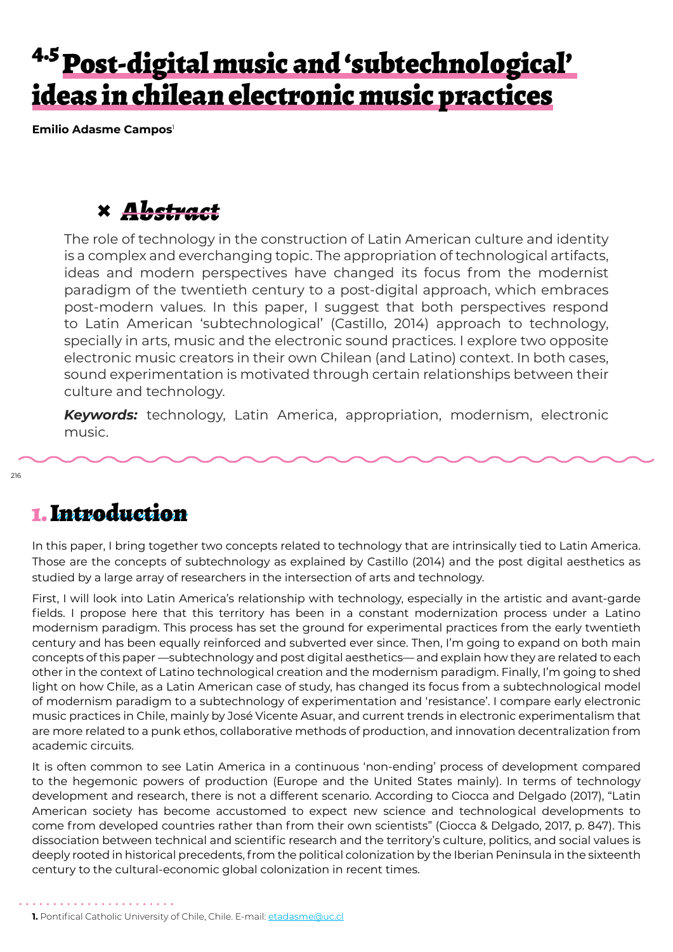# <sup>4.5</sup> Post-digital music and 'subtechnological' ideas in chilean electronic music practices

**Emilio Adasme Campos**<sup>1</sup>

### **×** *Abstract*

The role of technology in the construction of Latin American culture and identity is a complex and everchanging topic. The appropriation of technological artifacts, ideas and modern perspectives have changed its focus from the modernist paradigm of the twentieth century to a post-digital approach, which embraces post-modern values. In this paper, I suggest that both perspectives respond to Latin American 'subtechnological' (Castillo, 2014) approach to technology, specially in arts, music and the electronic sound practices. I explore two opposite electronic music creators in their own Chilean (and Latino) context. In both cases, sound experimentation is motivated through certain relationships between their culture and technology.

*Keywords:* technology, Latin America, appropriation, modernism, electronic music.

### 1. Introduction

In this paper, I bring together two concepts related to technology that are intrinsically tied to Latin America. Those are the concepts of subtechnology as explained by Castillo (2014) and the post digital aesthetics as studied by a large array of researchers in the intersection of arts and technology.

First, I will look into Latin America's relationship with technology, especially in the artistic and avant-garde fields. I propose here that this territory has been in a constant modernization process under a Latino modernism paradigm. This process has set the ground for experimental practices from the early twentieth century and has been equally reinforced and subverted ever since. Then, I'm going to expand on both main concepts of this paper —subtechnology and post digital aesthetics— and explain how they are related to each other in the context of Latino technological creation and the modernism paradigm. Finally, I'm going to shed light on how Chile, as a Latin American case of study, has changed its focus from a subtechnological model of modernism paradigm to a subtechnology of experimentation and 'resistance'. I compare early electronic music practices in Chile, mainly by José Vicente Asuar, and current trends in electronic experimentalism that are more related to a punk ethos, collaborative methods of production, and innovation decentralization from academic circuits.

It is often common to see Latin America in a continuous 'non-ending' process of development compared to the hegemonic powers of production (Europe and the United States mainly). In terms of technology development and research, there is not a different scenario. According to Ciocca and Delgado (2017), "Latin American society has become accustomed to expect new science and technological developments to come from developed countries rather than from their own scientists" (Ciocca & Delgado, 2017, p. 847). This dissociation between technical and scientific research and the territory's culture, politics, and social values is deeply rooted in historical precedents, from the political colonization by the Iberian Peninsula in the sixteenth century to the cultural-economic global colonization in recent times.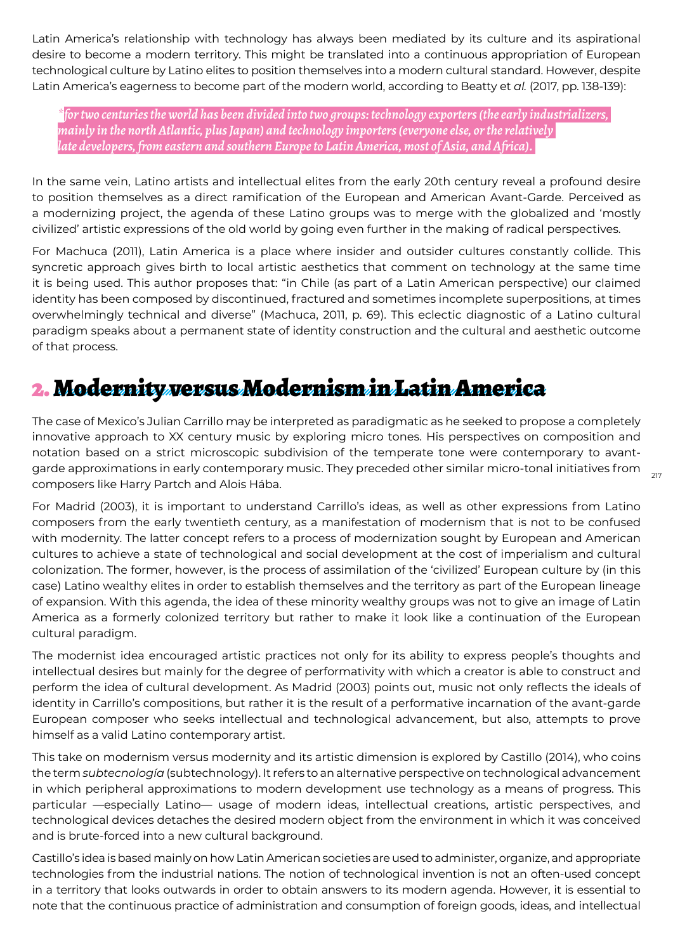Latin America's relationship with technology has always been mediated by its culture and its aspirational desire to become a modern territory. This might be translated into a continuous appropriation of European technological culture by Latino elites to position themselves into a modern cultural standard. However, despite Latin America's eagerness to become part of the modern world, according to Beatty et *al.* (2017, pp. 138-139):

*\*for two centuries the world has been divided into two groups: technology exporters (the early industrializers, mainly in the north Atlantic, plus Japan) and technology importers (everyone else, or the relatively late developers, from eastern and southern Europe to Latin America, most of Asia, and Africa).* 

In the same vein, Latino artists and intellectual elites from the early 20th century reveal a profound desire to position themselves as a direct ramification of the European and American Avant-Garde. Perceived as a modernizing project, the agenda of these Latino groups was to merge with the globalized and 'mostly civilized' artistic expressions of the old world by going even further in the making of radical perspectives.

For Machuca (2011), Latin America is a place where insider and outsider cultures constantly collide. This syncretic approach gives birth to local artistic aesthetics that comment on technology at the same time it is being used. This author proposes that: "in Chile (as part of a Latin American perspective) our claimed identity has been composed by discontinued, fractured and sometimes incomplete superpositions, at times overwhelmingly technical and diverse" (Machuca, 2011, p. 69). This eclectic diagnostic of a Latino cultural paradigm speaks about a permanent state of identity construction and the cultural and aesthetic outcome of that process.

## 2. Modernity versus Modernism in Latin America

garde approximations in early contemporary music. They preceded other similar micro-tonal initiatives from  $\frac{217}{217}$ The case of Mexico's Julian Carrillo may be interpreted as paradigmatic as he seeked to propose a completely innovative approach to XX century music by exploring micro tones. His perspectives on composition and notation based on a strict microscopic subdivision of the temperate tone were contemporary to avantcomposers like Harry Partch and Alois Hába.

For Madrid (2003), it is important to understand Carrillo's ideas, as well as other expressions from Latino composers from the early twentieth century, as a manifestation of modernism that is not to be confused with modernity. The latter concept refers to a process of modernization sought by European and American cultures to achieve a state of technological and social development at the cost of imperialism and cultural colonization. The former, however, is the process of assimilation of the 'civilized' European culture by (in this case) Latino wealthy elites in order to establish themselves and the territory as part of the European lineage of expansion. With this agenda, the idea of these minority wealthy groups was not to give an image of Latin America as a formerly colonized territory but rather to make it look like a continuation of the European cultural paradigm.

The modernist idea encouraged artistic practices not only for its ability to express people's thoughts and intellectual desires but mainly for the degree of performativity with which a creator is able to construct and perform the idea of cultural development. As Madrid (2003) points out, music not only reflects the ideals of identity in Carrillo's compositions, but rather it is the result of a performative incarnation of the avant-garde European composer who seeks intellectual and technological advancement, but also, attempts to prove himself as a valid Latino contemporary artist.

This take on modernism versus modernity and its artistic dimension is explored by Castillo (2014), who coins the term *subtecnología* (subtechnology). It refers to an alternative perspective on technological advancement in which peripheral approximations to modern development use technology as a means of progress. This particular —especially Latino— usage of modern ideas, intellectual creations, artistic perspectives, and technological devices detaches the desired modern object from the environment in which it was conceived and is brute-forced into a new cultural background.

Castillo's idea is based mainly on how Latin American societies are used to administer, organize, and appropriate technologies from the industrial nations. The notion of technological invention is not an often-used concept in a territory that looks outwards in order to obtain answers to its modern agenda. However, it is essential to note that the continuous practice of administration and consumption of foreign goods, ideas, and intellectual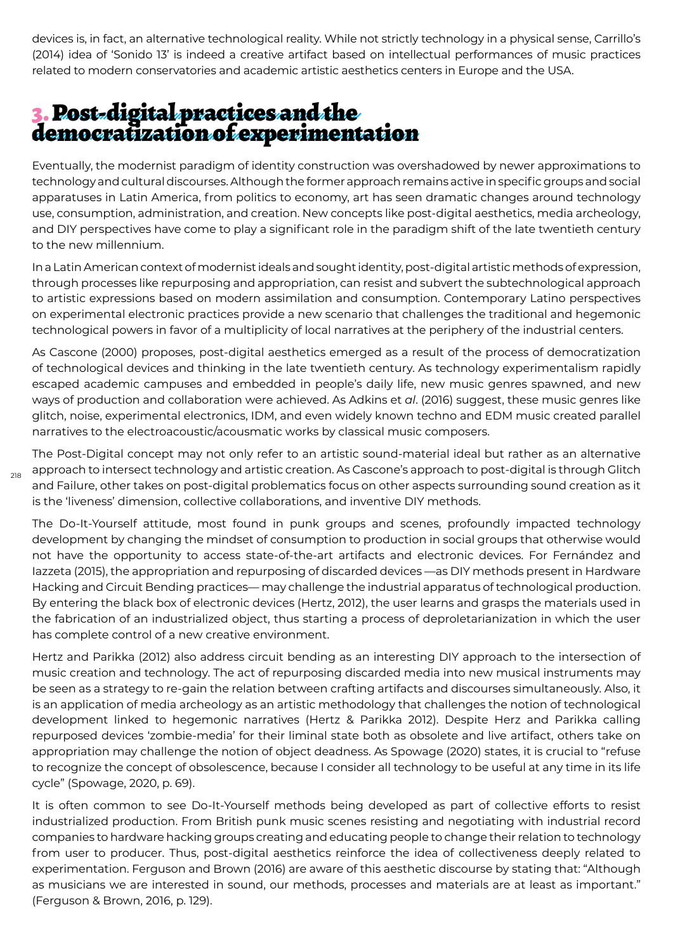devices is, in fact, an alternative technological reality. While not strictly technology in a physical sense, Carrillo's (2014) idea of 'Sonido 13' is indeed a creative artifact based on intellectual performances of music practices related to modern conservatories and academic artistic aesthetics centers in Europe and the USA.

### 3. Post-digital practices and the democratization of experimentation

218

Eventually, the modernist paradigm of identity construction was overshadowed by newer approximations to technology and cultural discourses. Although the former approach remains active in specific groups and social apparatuses in Latin America, from politics to economy, art has seen dramatic changes around technology use, consumption, administration, and creation. New concepts like post-digital aesthetics, media archeology, and DIY perspectives have come to play a significant role in the paradigm shift of the late twentieth century to the new millennium.

In a Latin American context of modernist ideals and sought identity, post-digital artistic methods of expression, through processes like repurposing and appropriation, can resist and subvert the subtechnological approach to artistic expressions based on modern assimilation and consumption. Contemporary Latino perspectives on experimental electronic practices provide a new scenario that challenges the traditional and hegemonic technological powers in favor of a multiplicity of local narratives at the periphery of the industrial centers.

As Cascone (2000) proposes, post-digital aesthetics emerged as a result of the process of democratization of technological devices and thinking in the late twentieth century. As technology experimentalism rapidly escaped academic campuses and embedded in people's daily life, new music genres spawned, and new ways of production and collaboration were achieved. As Adkins et *al*. (2016) suggest, these music genres like glitch, noise, experimental electronics, IDM, and even widely known techno and EDM music created parallel narratives to the electroacoustic/acousmatic works by classical music composers.

The Post-Digital concept may not only refer to an artistic sound-material ideal but rather as an alternative approach to intersect technology and artistic creation. As Cascone's approach to post-digital is through Glitch and Failure, other takes on post-digital problematics focus on other aspects surrounding sound creation as it is the 'liveness' dimension, collective collaborations, and inventive DIY methods.

The Do-It-Yourself attitude, most found in punk groups and scenes, profoundly impacted technology development by changing the mindset of consumption to production in social groups that otherwise would not have the opportunity to access state-of-the-art artifacts and electronic devices. For Fernández and Iazzeta (2015), the appropriation and repurposing of discarded devices —as DIY methods present in Hardware Hacking and Circuit Bending practices— may challenge the industrial apparatus of technological production. By entering the black box of electronic devices (Hertz, 2012), the user learns and grasps the materials used in the fabrication of an industrialized object, thus starting a process of deproletarianization in which the user has complete control of a new creative environment.

Hertz and Parikka (2012) also address circuit bending as an interesting DIY approach to the intersection of music creation and technology. The act of repurposing discarded media into new musical instruments may be seen as a strategy to re-gain the relation between crafting artifacts and discourses simultaneously. Also, it is an application of media archeology as an artistic methodology that challenges the notion of technological development linked to hegemonic narratives (Hertz & Parikka 2012). Despite Herz and Parikka calling repurposed devices 'zombie-media' for their liminal state both as obsolete and live artifact, others take on appropriation may challenge the notion of object deadness. As Spowage (2020) states, it is crucial to "refuse to recognize the concept of obsolescence, because I consider all technology to be useful at any time in its life cycle" (Spowage, 2020, p. 69).

It is often common to see Do-It-Yourself methods being developed as part of collective efforts to resist industrialized production. From British punk music scenes resisting and negotiating with industrial record companies to hardware hacking groups creating and educating people to change their relation to technology from user to producer. Thus, post-digital aesthetics reinforce the idea of collectiveness deeply related to experimentation. Ferguson and Brown (2016) are aware of this aesthetic discourse by stating that: "Although as musicians we are interested in sound, our methods, processes and materials are at least as important." (Ferguson & Brown, 2016, p. 129).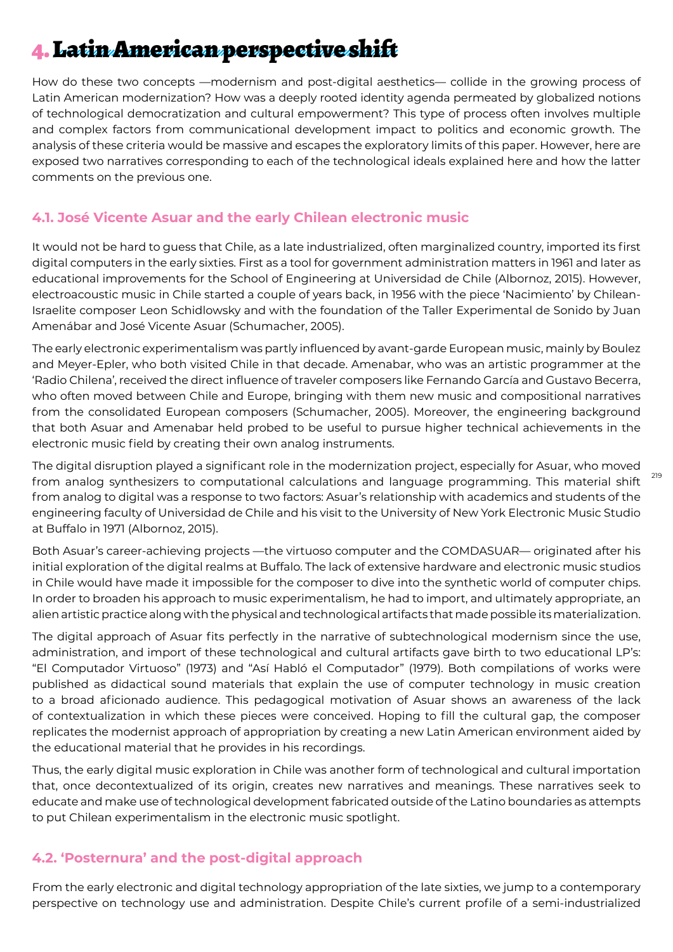# 4. Latin American perspective shift

How do these two concepts —modernism and post-digital aesthetics— collide in the growing process of Latin American modernization? How was a deeply rooted identity agenda permeated by globalized notions of technological democratization and cultural empowerment? This type of process often involves multiple and complex factors from communicational development impact to politics and economic growth. The analysis of these criteria would be massive and escapes the exploratory limits of this paper. However, here are exposed two narratives corresponding to each of the technological ideals explained here and how the latter comments on the previous one.

#### **4.1. José Vicente Asuar and the early Chilean electronic music**

It would not be hard to guess that Chile, as a late industrialized, often marginalized country, imported its first digital computers in the early sixties. First as a tool for government administration matters in 1961 and later as educational improvements for the School of Engineering at Universidad de Chile (Albornoz, 2015). However, electroacoustic music in Chile started a couple of years back, in 1956 with the piece 'Nacimiento' by Chilean-Israelite composer Leon Schidlowsky and with the foundation of the Taller Experimental de Sonido by Juan Amenábar and José Vicente Asuar (Schumacher, 2005).

The early electronic experimentalism was partly influenced by avant-garde European music, mainly by Boulez and Meyer-Epler, who both visited Chile in that decade. Amenabar, who was an artistic programmer at the 'Radio Chilena', received the direct influence of traveler composers like Fernando García and Gustavo Becerra, who often moved between Chile and Europe, bringing with them new music and compositional narratives from the consolidated European composers (Schumacher, 2005). Moreover, the engineering background that both Asuar and Amenabar held probed to be useful to pursue higher technical achievements in the electronic music field by creating their own analog instruments.

The digital disruption played a significant role in the modernization project, especially for Asuar, who moved from analog synthesizers to computational calculations and language programming. This material shift from analog to digital was a response to two factors: Asuar's relationship with academics and students of the engineering faculty of Universidad de Chile and his visit to the University of New York Electronic Music Studio at Buffalo in 1971 (Albornoz, 2015).

219

Both Asuar's career-achieving projects —the virtuoso computer and the COMDASUAR— originated after his initial exploration of the digital realms at Buffalo. The lack of extensive hardware and electronic music studios in Chile would have made it impossible for the composer to dive into the synthetic world of computer chips. In order to broaden his approach to music experimentalism, he had to import, and ultimately appropriate, an alien artistic practice along with the physical and technological artifacts that made possible its materialization.

The digital approach of Asuar fits perfectly in the narrative of subtechnological modernism since the use, administration, and import of these technological and cultural artifacts gave birth to two educational LP's: "El Computador Virtuoso" (1973) and "Así Habló el Computador" (1979). Both compilations of works were published as didactical sound materials that explain the use of computer technology in music creation to a broad aficionado audience. This pedagogical motivation of Asuar shows an awareness of the lack of contextualization in which these pieces were conceived. Hoping to fill the cultural gap, the composer replicates the modernist approach of appropriation by creating a new Latin American environment aided by the educational material that he provides in his recordings.

Thus, the early digital music exploration in Chile was another form of technological and cultural importation that, once decontextualized of its origin, creates new narratives and meanings. These narratives seek to educate and make use of technological development fabricated outside of the Latino boundaries as attempts to put Chilean experimentalism in the electronic music spotlight.

#### **4.2. 'Posternura' and the post-digital approach**

From the early electronic and digital technology appropriation of the late sixties, we jump to a contemporary perspective on technology use and administration. Despite Chile's current profile of a semi-industrialized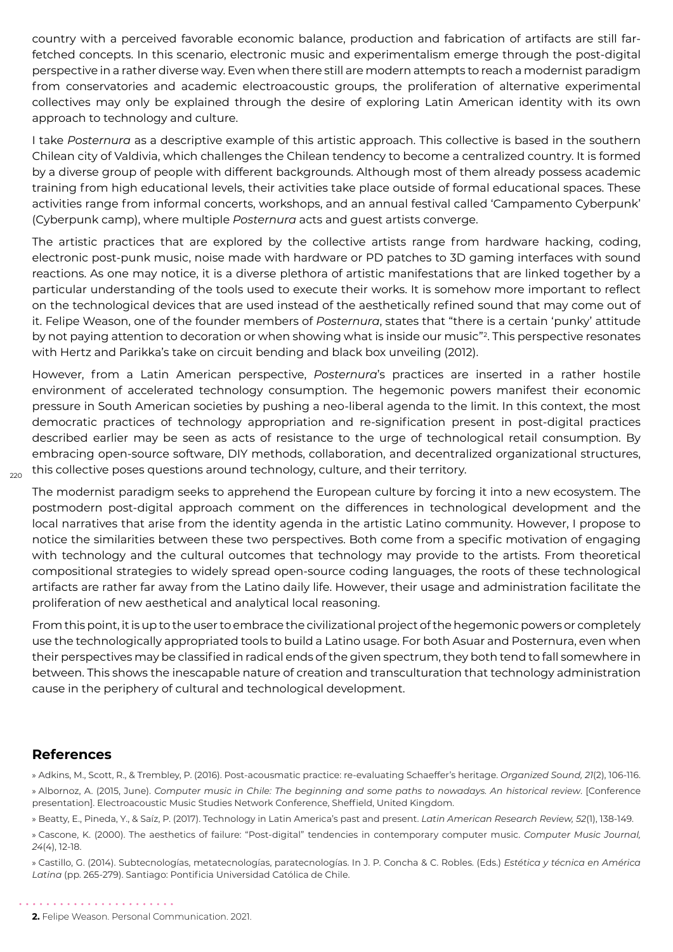country with a perceived favorable economic balance, production and fabrication of artifacts are still farfetched concepts. In this scenario, electronic music and experimentalism emerge through the post-digital perspective in a rather diverse way. Even when there still are modern attempts to reach a modernist paradigm from conservatories and academic electroacoustic groups, the proliferation of alternative experimental collectives may only be explained through the desire of exploring Latin American identity with its own approach to technology and culture.

I take *Posternura* as a descriptive example of this artistic approach. This collective is based in the southern Chilean city of Valdivia, which challenges the Chilean tendency to become a centralized country. It is formed by a diverse group of people with different backgrounds. Although most of them already possess academic training from high educational levels, their activities take place outside of formal educational spaces. These activities range from informal concerts, workshops, and an annual festival called 'Campamento Cyberpunk' (Cyberpunk camp), where multiple *Posternura* acts and guest artists converge.

The artistic practices that are explored by the collective artists range from hardware hacking, coding, electronic post-punk music, noise made with hardware or PD patches to 3D gaming interfaces with sound reactions. As one may notice, it is a diverse plethora of artistic manifestations that are linked together by a particular understanding of the tools used to execute their works. It is somehow more important to reflect on the technological devices that are used instead of the aesthetically refined sound that may come out of it. Felipe Weason, one of the founder members of *Posternura*, states that "there is a certain 'punky' attitude by not paying attention to decoration or when showing what is inside our music"?. This perspective resonates with Hertz and Parikka's take on circuit bending and black box unveiling (2012).

However, from a Latin American perspective, *Posternura*'s practices are inserted in a rather hostile environment of accelerated technology consumption. The hegemonic powers manifest their economic pressure in South American societies by pushing a neo-liberal agenda to the limit. In this context, the most democratic practices of technology appropriation and re-signification present in post-digital practices described earlier may be seen as acts of resistance to the urge of technological retail consumption. By embracing open-source software, DIY methods, collaboration, and decentralized organizational structures, this collective poses questions around technology, culture, and their territory.

 $220$ 

The modernist paradigm seeks to apprehend the European culture by forcing it into a new ecosystem. The postmodern post-digital approach comment on the differences in technological development and the local narratives that arise from the identity agenda in the artistic Latino community. However, I propose to notice the similarities between these two perspectives. Both come from a specific motivation of engaging with technology and the cultural outcomes that technology may provide to the artists. From theoretical compositional strategies to widely spread open-source coding languages, the roots of these technological artifacts are rather far away from the Latino daily life. However, their usage and administration facilitate the proliferation of new aesthetical and analytical local reasoning.

From this point, it is up to the user to embrace the civilizational project of the hegemonic powers or completely use the technologically appropriated tools to build a Latino usage. For both Asuar and Posternura, even when their perspectives may be classified in radical ends of the given spectrum, they both tend to fall somewhere in between. This shows the inescapable nature of creation and transculturation that technology administration cause in the periphery of cultural and technological development.

#### **References**

» Adkins, M., Scott, R., & Trembley, P. (2016). Post-acousmatic practice: re-evaluating Schaeffer's heritage. *Organized Sound, 21*(2), 106-116. » Albornoz, A. (2015, June). *Computer music in Chile: The beginning and some paths to nowadays. An historical review*. [Conference presentation]. Electroacoustic Music Studies Network Conference, Sheffield, United Kingdom.

» Beatty, E., Pineda, Y., & Saíz, P. (2017). Technology in Latin America's past and present. *Latin American Research Review, 52*(1), 138-149.

» Cascone, K. (2000). The aesthetics of failure: "Post-digital" tendencies in contemporary computer music. *Computer Music Journal, 24*(4), 12-18.

» Castillo, G. (2014). Subtecnologías, metatecnologías, paratecnologías. In J. P. Concha & C. Robles. (Eds.) *Estética y técnica en América Latina* (pp. 265-279). Santiago: Pontificia Universidad Católica de Chile.

**2.** Felipe Weason. Personal Communication. 2021.